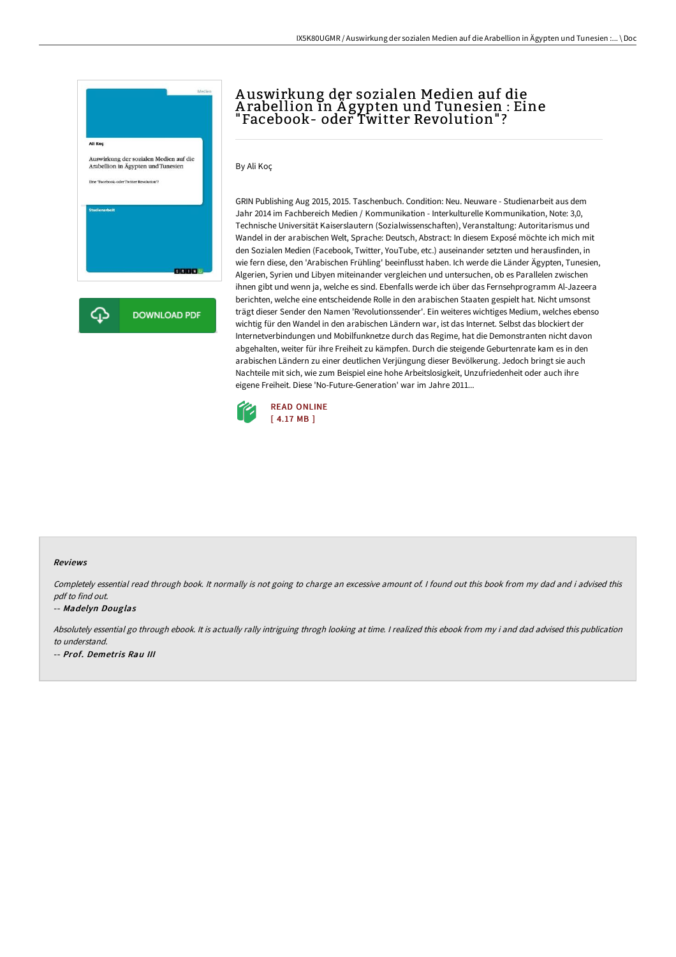

# A uswirkung der sozialen Medien auf die A rabellion in Ä gypten und Tunesien : Eine "Facebook- oder Twitter Revolution" ?

By Ali Koç

GRIN Publishing Aug 2015, 2015. Taschenbuch. Condition: Neu. Neuware - Studienarbeit aus dem Jahr 2014 im Fachbereich Medien / Kommunikation - Interkulturelle Kommunikation, Note: 3,0, Technische Universität Kaiserslautern (Sozialwissenschaften), Veranstaltung: Autoritarismus und Wandel in der arabischen Welt, Sprache: Deutsch, Abstract: In diesem Exposé möchte ich mich mit den Sozialen Medien (Facebook, Twitter, YouTube, etc.) auseinander setzten und herausfinden, in wie fern diese, den 'Arabischen Frühling' beeinflusst haben. Ich werde die Länder Ägypten, Tunesien, Algerien, Syrien und Libyen miteinander vergleichen und untersuchen, ob es Parallelen zwischen ihnen gibt und wenn ja, welche es sind. Ebenfalls werde ich über das Fernsehprogramm Al-Jazeera berichten, welche eine entscheidende Rolle in den arabischen Staaten gespielt hat. Nicht umsonst trägt dieser Sender den Namen 'Revolutionssender'. Ein weiteres wichtiges Medium, welches ebenso wichtig für den Wandel in den arabischen Ländern war, ist das Internet. Selbst das blockiert der Internetverbindungen und Mobilfunknetze durch das Regime, hat die Demonstranten nicht davon abgehalten, weiter für ihre Freiheit zu kämpfen. Durch die steigende Geburtenrate kam es in den arabischen Ländern zu einer deutlichen Verjüngung dieser Bevölkerung. Jedoch bringt sie auch Nachteile mit sich, wie zum Beispiel eine hohe Arbeitslosigkeit, Unzufriedenheit oder auch ihre eigene Freiheit. Diese 'No-Future-Generation' war im Jahre 2011...



#### Reviews

Completely essential read through book. It normally is not going to charge an excessive amount of. <sup>I</sup> found out this book from my dad and i advised this pdf to find out.

#### -- Madelyn Douglas

Absolutely essential go through ebook. It is actually rally intriguing throgh looking at time. <sup>I</sup> realized this ebook from my i and dad advised this publication to understand. -- Prof. Demetris Rau III